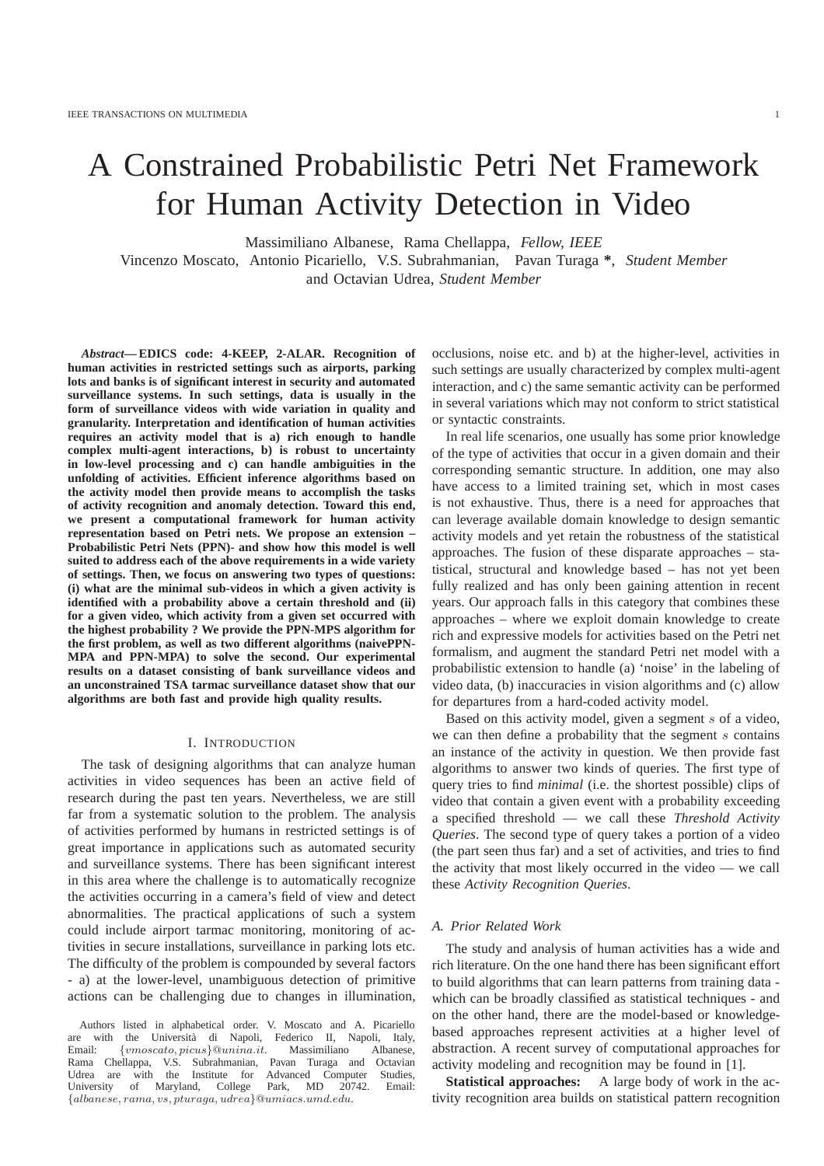# A Constrained Probabilistic Petri Net Framework for Human Activity Detection in Video

Massimiliano Albanese, Rama Chellappa, *Fellow, IEEE*

Vincenzo Moscato, Antonio Picariello, V.S. Subrahmanian, Pavan Turaga **\***, *Student Member* and Octavian Udrea, *Student Member*

*Abstract***— EDICS code: 4-KEEP, 2-ALAR. Recognition of human activities in restricted settings such as airports, parking lots and banks is of significant interest in security and automated surveillance systems. In such settings, data is usually in the form of surveillance videos with wide variation in quality and granularity. Interpretation and identification of human activities requires an activity model that is a) rich enough to handle complex multi-agent interactions, b) is robust to uncertainty in low-level processing and c) can handle ambiguities in the unfolding of activities. Efficient inference algorithms based on the activity model then provide means to accomplish the tasks of activity recognition and anomaly detection. Toward this end, we present a computational framework for human activity representation based on Petri nets. We propose an extension – Probabilistic Petri Nets (PPN)- and show how this model is well suited to address each of the above requirements in a wide variety of settings. Then, we focus on answering two types of questions: (i) what are the minimal sub-videos in which a given activity is identified with a probability above a certain threshold and (ii) for a given video, which activity from a given set occurred with the highest probability ? We provide the PPN-MPS algorithm for the first problem, as well as two different algorithms (naivePPN-MPA and PPN-MPA) to solve the second. Our experimental results on a dataset consisting of bank surveillance videos and an unconstrained TSA tarmac surveillance dataset show that our algorithms are both fast and provide high quality results.**

#### I. INTRODUCTION

The task of designing algorithms that can analyze human activities in video sequences has been an active field of research during the past ten years. Nevertheless, we are still far from a systematic solution to the problem. The analysis of activities performed by humans in restricted settings is of great importance in applications such as automated security and surveillance systems. There has been significant interest in this area where the challenge is to automatically recognize the activities occurring in a camera's field of view and detect abnormalities. The practical applications of such a system could include airport tarmac monitoring, monitoring of activities in secure installations, surveillance in parking lots etc. The difficulty of the problem is compounded by several factors - a) at the lower-level, unambiguous detection of primitive actions can be challenging due to changes in illumination,

Authors listed in alphabetical order. V. Moscato and A. Picariello are with the Università di Napoli, Federico II, Napoli, Italy, Email: {vmoscato, picus}@unina.it. Massimiliano Albanese, Rama Chellappa, V.S. Subrahmanian, Pavan Turaga and Octavian Udrea are with the Institute for Advanced Computer Studies, University of Maryland, College Park, MD 20742. Email: {albanese, rama, vs, pturaga, udrea}@umiacs.umd.edu.

occlusions, noise etc. and b) at the higher-level, activities in such settings are usually characterized by complex multi-agent interaction, and c) the same semantic activity can be performed in several variations which may not conform to strict statistical or syntactic constraints.

In real life scenarios, one usually has some prior knowledge of the type of activities that occur in a given domain and their corresponding semantic structure. In addition, one may also have access to a limited training set, which in most cases is not exhaustive. Thus, there is a need for approaches that can leverage available domain knowledge to design semantic activity models and yet retain the robustness of the statistical approaches. The fusion of these disparate approaches – statistical, structural and knowledge based – has not yet been fully realized and has only been gaining attention in recent years. Our approach falls in this category that combines these approaches – where we exploit domain knowledge to create rich and expressive models for activities based on the Petri net formalism, and augment the standard Petri net model with a probabilistic extension to handle (a) 'noise' in the labeling of video data, (b) inaccuracies in vision algorithms and (c) allow for departures from a hard-coded activity model.

Based on this activity model, given a segment s of a video, we can then define a probability that the segment  $s$  contains an instance of the activity in question. We then provide fast algorithms to answer two kinds of queries. The first type of query tries to find *minimal* (i.e. the shortest possible) clips of video that contain a given event with a probability exceeding a specified threshold — we call these *Threshold Activity Queries*. The second type of query takes a portion of a video (the part seen thus far) and a set of activities, and tries to find the activity that most likely occurred in the video — we call these *Activity Recognition Queries*.

#### *A. Prior Related Work*

The study and analysis of human activities has a wide and rich literature. On the one hand there has been significant effort to build algorithms that can learn patterns from training data which can be broadly classified as statistical techniques - and on the other hand, there are the model-based or knowledgebased approaches represent activities at a higher level of abstraction. A recent survey of computational approaches for activity modeling and recognition may be found in [1].

**Statistical approaches:** A large body of work in the activity recognition area builds on statistical pattern recognition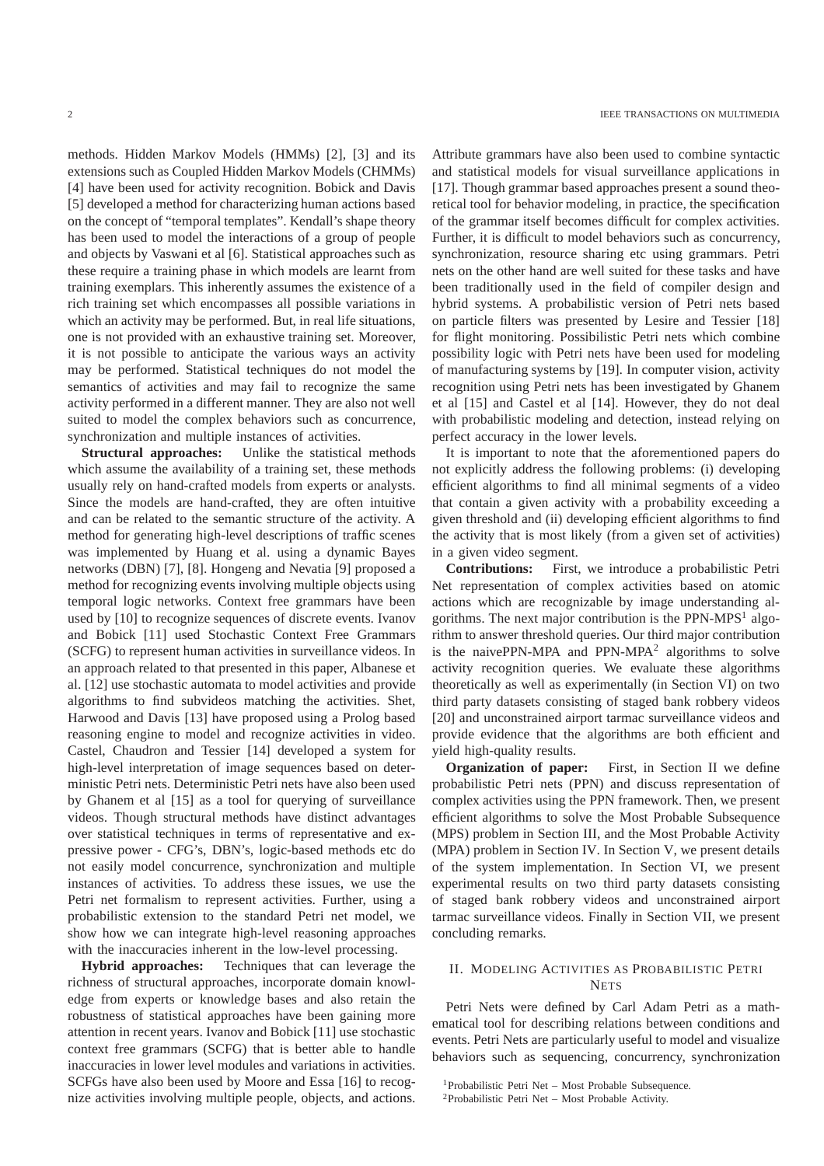methods. Hidden Markov Models (HMMs) [2], [3] and its extensions such as Coupled Hidden Markov Models (CHMMs) [4] have been used for activity recognition. Bobick and Davis [5] developed a method for characterizing human actions based on the concept of "temporal templates". Kendall's shape theory has been used to model the interactions of a group of people and objects by Vaswani et al [6]. Statistical approaches such as these require a training phase in which models are learnt from training exemplars. This inherently assumes the existence of a rich training set which encompasses all possible variations in which an activity may be performed. But, in real life situations, one is not provided with an exhaustive training set. Moreover, it is not possible to anticipate the various ways an activity may be performed. Statistical techniques do not model the semantics of activities and may fail to recognize the same activity performed in a different manner. They are also not well suited to model the complex behaviors such as concurrence, synchronization and multiple instances of activities.

**Structural approaches:** Unlike the statistical methods which assume the availability of a training set, these methods usually rely on hand-crafted models from experts or analysts. Since the models are hand-crafted, they are often intuitive and can be related to the semantic structure of the activity. A method for generating high-level descriptions of traffic scenes was implemented by Huang et al. using a dynamic Bayes networks (DBN) [7], [8]. Hongeng and Nevatia [9] proposed a method for recognizing events involving multiple objects using temporal logic networks. Context free grammars have been used by [10] to recognize sequences of discrete events. Ivanov and Bobick [11] used Stochastic Context Free Grammars (SCFG) to represent human activities in surveillance videos. In an approach related to that presented in this paper, Albanese et al. [12] use stochastic automata to model activities and provide algorithms to find subvideos matching the activities. Shet, Harwood and Davis [13] have proposed using a Prolog based reasoning engine to model and recognize activities in video. Castel, Chaudron and Tessier [14] developed a system for high-level interpretation of image sequences based on deterministic Petri nets. Deterministic Petri nets have also been used by Ghanem et al [15] as a tool for querying of surveillance videos. Though structural methods have distinct advantages over statistical techniques in terms of representative and expressive power - CFG's, DBN's, logic-based methods etc do not easily model concurrence, synchronization and multiple instances of activities. To address these issues, we use the Petri net formalism to represent activities. Further, using a probabilistic extension to the standard Petri net model, we show how we can integrate high-level reasoning approaches with the inaccuracies inherent in the low-level processing.

**Hybrid approaches:** Techniques that can leverage the richness of structural approaches, incorporate domain knowledge from experts or knowledge bases and also retain the robustness of statistical approaches have been gaining more attention in recent years. Ivanov and Bobick [11] use stochastic context free grammars (SCFG) that is better able to handle inaccuracies in lower level modules and variations in activities. SCFGs have also been used by Moore and Essa [16] to recognize activities involving multiple people, objects, and actions. Attribute grammars have also been used to combine syntactic and statistical models for visual surveillance applications in [17]. Though grammar based approaches present a sound theoretical tool for behavior modeling, in practice, the specification of the grammar itself becomes difficult for complex activities. Further, it is difficult to model behaviors such as concurrency, synchronization, resource sharing etc using grammars. Petri nets on the other hand are well suited for these tasks and have been traditionally used in the field of compiler design and hybrid systems. A probabilistic version of Petri nets based on particle filters was presented by Lesire and Tessier [18] for flight monitoring. Possibilistic Petri nets which combine possibility logic with Petri nets have been used for modeling of manufacturing systems by [19]. In computer vision, activity recognition using Petri nets has been investigated by Ghanem et al [15] and Castel et al [14]. However, they do not deal with probabilistic modeling and detection, instead relying on perfect accuracy in the lower levels.

It is important to note that the aforementioned papers do not explicitly address the following problems: (i) developing efficient algorithms to find all minimal segments of a video that contain a given activity with a probability exceeding a given threshold and (ii) developing efficient algorithms to find the activity that is most likely (from a given set of activities) in a given video segment.

**Contributions:** First, we introduce a probabilistic Petri Net representation of complex activities based on atomic actions which are recognizable by image understanding algorithms. The next major contribution is the PPN-MPS<sup>1</sup> algorithm to answer threshold queries. Our third major contribution is the naivePPN-MPA and PPN-MPA<sup>2</sup> algorithms to solve activity recognition queries. We evaluate these algorithms theoretically as well as experimentally (in Section VI) on two third party datasets consisting of staged bank robbery videos [20] and unconstrained airport tarmac surveillance videos and provide evidence that the algorithms are both efficient and yield high-quality results.

**Organization of paper:** First, in Section II we define probabilistic Petri nets (PPN) and discuss representation of complex activities using the PPN framework. Then, we present efficient algorithms to solve the Most Probable Subsequence (MPS) problem in Section III, and the Most Probable Activity (MPA) problem in Section IV. In Section V, we present details of the system implementation. In Section VI, we present experimental results on two third party datasets consisting of staged bank robbery videos and unconstrained airport tarmac surveillance videos. Finally in Section VII, we present concluding remarks.

## II. MODELING ACTIVITIES AS PROBABILISTIC PETRI **NETS**

Petri Nets were defined by Carl Adam Petri as a mathematical tool for describing relations between conditions and events. Petri Nets are particularly useful to model and visualize behaviors such as sequencing, concurrency, synchronization

<sup>1</sup>Probabilistic Petri Net – Most Probable Subsequence.

<sup>2</sup>Probabilistic Petri Net – Most Probable Activity.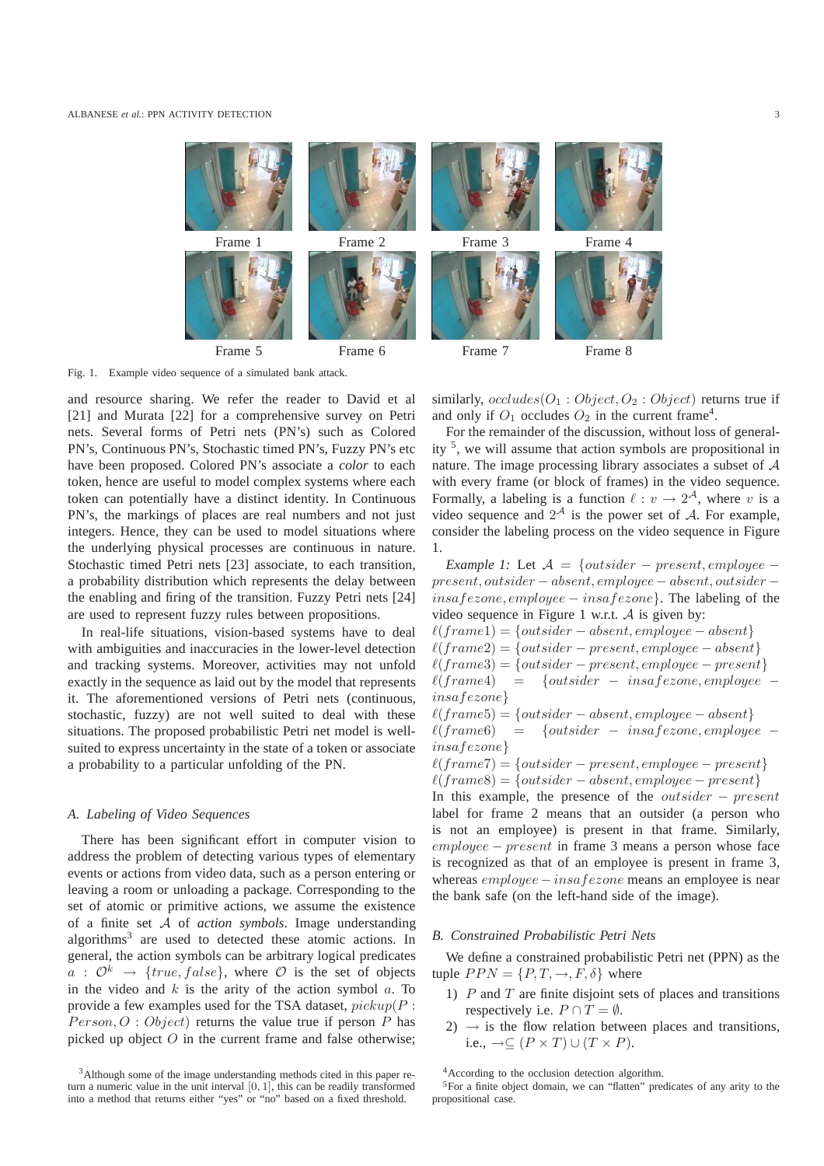

Fig. 1. Example video sequence of a simulated bank attack.

and resource sharing. We refer the reader to David et al [21] and Murata [22] for a comprehensive survey on Petri nets. Several forms of Petri nets (PN's) such as Colored PN's, Continuous PN's, Stochastic timed PN's, Fuzzy PN's etc have been proposed. Colored PN's associate a *color* to each token, hence are useful to model complex systems where each token can potentially have a distinct identity. In Continuous PN's, the markings of places are real numbers and not just integers. Hence, they can be used to model situations where the underlying physical processes are continuous in nature. Stochastic timed Petri nets [23] associate, to each transition, a probability distribution which represents the delay between the enabling and firing of the transition. Fuzzy Petri nets [24] are used to represent fuzzy rules between propositions.

In real-life situations, vision-based systems have to deal with ambiguities and inaccuracies in the lower-level detection and tracking systems. Moreover, activities may not unfold exactly in the sequence as laid out by the model that represents it. The aforementioned versions of Petri nets (continuous, stochastic, fuzzy) are not well suited to deal with these situations. The proposed probabilistic Petri net model is wellsuited to express uncertainty in the state of a token or associate a probability to a particular unfolding of the PN.

## *A. Labeling of Video Sequences*

There has been significant effort in computer vision to address the problem of detecting various types of elementary events or actions from video data, such as a person entering or leaving a room or unloading a package. Corresponding to the set of atomic or primitive actions, we assume the existence of a finite set A of *action symbols*. Image understanding algorithms<sup>3</sup> are used to detected these atomic actions. In general, the action symbols can be arbitrary logical predicates  $a : \mathcal{O}^k \rightarrow \{true, false\}$ , where  $\mathcal O$  is the set of objects in the video and  $k$  is the arity of the action symbol  $a$ . To provide a few examples used for the TSA dataset,  $picture(P :$  $Person, O: Object$  returns the value true if person P has picked up object  $O$  in the current frame and false otherwise; similarly,  $occludes(O_1:Object, O_2:Object)$  returns true if and only if  $O_1$  occludes  $O_2$  in the current frame<sup>4</sup>.

For the remainder of the discussion, without loss of generality <sup>5</sup> , we will assume that action symbols are propositional in nature. The image processing library associates a subset of A with every frame (or block of frames) in the video sequence. Formally, a labeling is a function  $\ell: v \to 2^{\mathcal{A}}$ , where v is a video sequence and  $2^{\mathcal{A}}$  is the power set of  $\mathcal{A}$ . For example, consider the labeling process on the video sequence in Figure 1.

*Example 1:* Let  $A = \{outside r - present, employee$ present, outsider − absent, employee − absent, outsider −  $insafexone, employee-insafexone\}$ . The labeling of the video sequence in Figure 1 w.r.t. A is given by:

 $\ell(frame1) = \{outside r - absent, employee - absent\}$  $\ell(frame2) = \{outside r - present, employee - absent\}$  $\ell$ (frame3) = {outsider – present, employee – present}  $\ell$ (frame4) = {outsider – insafezone, employee –

$$
insafezone
$$

 $\ell(frame5) = \{outside r - absent, employee - absent\}$  $\ell(frame6) = \{outsider - insafezone, employee$ insafezone}

 $\ell(freme7) = \{outsideer - present, employee - present\}$ 

 $\ell(frame8) = \{outside r - absent, employee - present\}$ In this example, the presence of the outsider − present label for frame 2 means that an outsider (a person who is not an employee) is present in that frame. Similarly, employee − present in frame 3 means a person whose face is recognized as that of an employee is present in frame 3, whereas *employee* − *insa fezone* means an employee is near the bank safe (on the left-hand side of the image).

#### *B. Constrained Probabilistic Petri Nets*

We define a constrained probabilistic Petri net (PPN) as the tuple  $PPN = \{P, T, \rightarrow, F, \delta\}$  where

- 1)  $P$  and  $T$  are finite disjoint sets of places and transitions respectively i.e.  $P \cap T = \emptyset$ .
- $2) \rightarrow$  is the flow relation between places and transitions, i.e.,  $\rightarrow \subseteq (P \times T) \cup (T \times P)$ .

<sup>&</sup>lt;sup>3</sup>Although some of the image understanding methods cited in this paper return a numeric value in the unit interval [0, 1], this can be readily transformed into a method that returns either "yes" or "no" based on a fixed threshold.

<sup>4</sup>According to the occlusion detection algorithm.

<sup>5</sup>For a finite object domain, we can "flatten" predicates of any arity to the propositional case.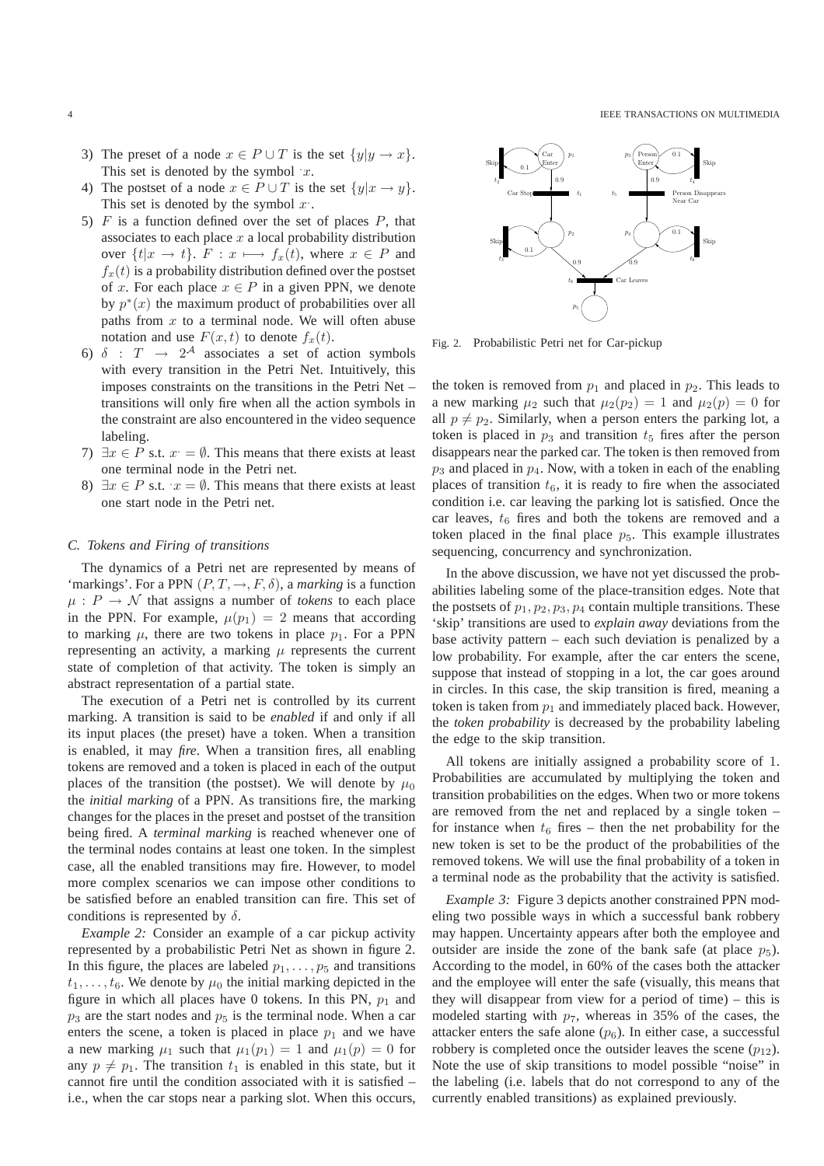- 3) The preset of a node  $x \in P \cup T$  is the set  $\{y | y \rightarrow x\}$ . This set is denoted by the symbol  $x$ .
- 4) The postset of a node  $x \in P \cup T$  is the set  $\{y|x \to y\}.$ This set is denoted by the symbol  $x$ .
- 5)  $F$  is a function defined over the set of places  $P$ , that associates to each place  $x$  a local probability distribution over  $\{t|x \to t\}$ .  $F: x \mapsto f_x(t)$ , where  $x \in P$  and  $f_x(t)$  is a probability distribution defined over the postset of x. For each place  $x \in P$  in a given PPN, we denote by  $p^*(x)$  the maximum product of probabilities over all paths from  $x$  to a terminal node. We will often abuse notation and use  $F(x, t)$  to denote  $f_x(t)$ .
- 6)  $\delta$  :  $T \rightarrow 2^{\mathcal{A}}$  associates a set of action symbols with every transition in the Petri Net. Intuitively, this imposes constraints on the transitions in the Petri Net – transitions will only fire when all the action symbols in the constraint are also encountered in the video sequence labeling.
- 7)  $\exists x \in P$  s.t.  $x = \emptyset$ . This means that there exists at least one terminal node in the Petri net.
- 8)  $\exists x \in P$  s.t.  $x = \emptyset$ . This means that there exists at least one start node in the Petri net.

## *C. Tokens and Firing of transitions*

The dynamics of a Petri net are represented by means of 'markings'. For a PPN  $(P, T, \rightarrow, F, \delta)$ , a *marking* is a function  $\mu$ :  $P \rightarrow \mathcal{N}$  that assigns a number of *tokens* to each place in the PPN. For example,  $\mu(p_1) = 2$  means that according to marking  $\mu$ , there are two tokens in place  $p_1$ . For a PPN representing an activity, a marking  $\mu$  represents the current state of completion of that activity. The token is simply an abstract representation of a partial state.

The execution of a Petri net is controlled by its current marking. A transition is said to be *enabled* if and only if all its input places (the preset) have a token. When a transition is enabled, it may *fire*. When a transition fires, all enabling tokens are removed and a token is placed in each of the output places of the transition (the postset). We will denote by  $\mu_0$ the *initial marking* of a PPN. As transitions fire, the marking changes for the places in the preset and postset of the transition being fired. A *terminal marking* is reached whenever one of the terminal nodes contains at least one token. In the simplest case, all the enabled transitions may fire. However, to model more complex scenarios we can impose other conditions to be satisfied before an enabled transition can fire. This set of conditions is represented by  $\delta$ .

*Example 2:* Consider an example of a car pickup activity represented by a probabilistic Petri Net as shown in figure 2. In this figure, the places are labeled  $p_1, \ldots, p_5$  and transitions  $t_1, \ldots, t_6$ . We denote by  $\mu_0$  the initial marking depicted in the figure in which all places have 0 tokens. In this PN,  $p_1$  and  $p_3$  are the start nodes and  $p_5$  is the terminal node. When a car enters the scene, a token is placed in place  $p_1$  and we have a new marking  $\mu_1$  such that  $\mu_1(p_1) = 1$  and  $\mu_1(p) = 0$  for any  $p \neq p_1$ . The transition  $t_1$  is enabled in this state, but it cannot fire until the condition associated with it is satisfied – i.e., when the car stops near a parking slot. When this occurs,



Fig. 2. Probabilistic Petri net for Car-pickup

the token is removed from  $p_1$  and placed in  $p_2$ . This leads to a new marking  $\mu_2$  such that  $\mu_2(p_2) = 1$  and  $\mu_2(p) = 0$  for all  $p \neq p_2$ . Similarly, when a person enters the parking lot, a token is placed in  $p_3$  and transition  $t_5$  fires after the person disappears near the parked car. The token is then removed from  $p_3$  and placed in  $p_4$ . Now, with a token in each of the enabling places of transition  $t_6$ , it is ready to fire when the associated condition i.e. car leaving the parking lot is satisfied. Once the car leaves,  $t_6$  fires and both the tokens are removed and a token placed in the final place  $p_5$ . This example illustrates sequencing, concurrency and synchronization.

In the above discussion, we have not yet discussed the probabilities labeling some of the place-transition edges. Note that the postsets of  $p_1, p_2, p_3, p_4$  contain multiple transitions. These 'skip' transitions are used to *explain away* deviations from the base activity pattern – each such deviation is penalized by a low probability. For example, after the car enters the scene, suppose that instead of stopping in a lot, the car goes around in circles. In this case, the skip transition is fired, meaning a token is taken from  $p_1$  and immediately placed back. However, the *token probability* is decreased by the probability labeling the edge to the skip transition.

All tokens are initially assigned a probability score of 1. Probabilities are accumulated by multiplying the token and transition probabilities on the edges. When two or more tokens are removed from the net and replaced by a single token – for instance when  $t_6$  fires – then the net probability for the new token is set to be the product of the probabilities of the removed tokens. We will use the final probability of a token in a terminal node as the probability that the activity is satisfied.

*Example 3:* Figure 3 depicts another constrained PPN modeling two possible ways in which a successful bank robbery may happen. Uncertainty appears after both the employee and outsider are inside the zone of the bank safe (at place  $p_5$ ). According to the model, in 60% of the cases both the attacker and the employee will enter the safe (visually, this means that they will disappear from view for a period of time) – this is modeled starting with  $p_7$ , whereas in 35% of the cases, the attacker enters the safe alone  $(p_6)$ . In either case, a successful robbery is completed once the outsider leaves the scene  $(p_{12})$ . Note the use of skip transitions to model possible "noise" in the labeling (i.e. labels that do not correspond to any of the currently enabled transitions) as explained previously.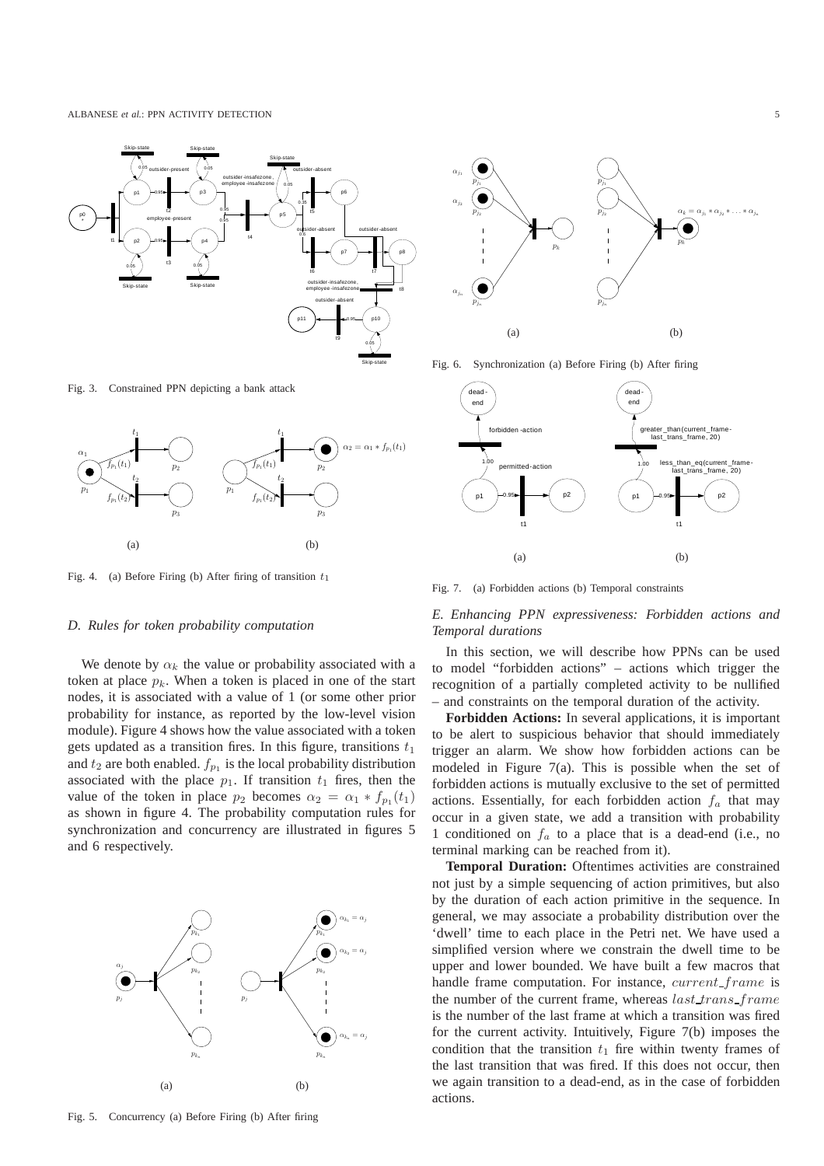

Fig. 3. Constrained PPN depicting a bank attack



Fig. 4. (a) Before Firing (b) After firing of transition  $t_1$ 

#### *D. Rules for token probability computation*

We denote by  $\alpha_k$  the value or probability associated with a token at place  $p_k$ . When a token is placed in one of the start nodes, it is associated with a value of 1 (or some other prior probability for instance, as reported by the low-level vision module). Figure 4 shows how the value associated with a token gets updated as a transition fires. In this figure, transitions  $t_1$ and  $t_2$  are both enabled.  $f_{p_1}$  is the local probability distribution associated with the place  $p_1$ . If transition  $t_1$  fires, then the value of the token in place  $p_2$  becomes  $\alpha_2 = \alpha_1 * f_{p_1}(t_1)$ as shown in figure 4. The probability computation rules for synchronization and concurrency are illustrated in figures 5 and 6 respectively.



Fig. 5. Concurrency (a) Before Firing (b) After firing



Fig. 6. Synchronization (a) Before Firing (b) After firing



Fig. 7. (a) Forbidden actions (b) Temporal constraints

# *E. Enhancing PPN expressiveness: Forbidden actions and Temporal durations*

In this section, we will describe how PPNs can be used to model "forbidden actions" – actions which trigger the recognition of a partially completed activity to be nullified – and constraints on the temporal duration of the activity.

**Forbidden Actions:** In several applications, it is important to be alert to suspicious behavior that should immediately trigger an alarm. We show how forbidden actions can be modeled in Figure 7(a). This is possible when the set of forbidden actions is mutually exclusive to the set of permitted actions. Essentially, for each forbidden action  $f_a$  that may occur in a given state, we add a transition with probability 1 conditioned on  $f_a$  to a place that is a dead-end (i.e., no terminal marking can be reached from it).

**Temporal Duration:** Oftentimes activities are constrained not just by a simple sequencing of action primitives, but also by the duration of each action primitive in the sequence. In general, we may associate a probability distribution over the 'dwell' time to each place in the Petri net. We have used a simplified version where we constrain the dwell time to be upper and lower bounded. We have built a few macros that handle frame computation. For instance, *current\_frame* is the number of the current frame, whereas *last trans frame* is the number of the last frame at which a transition was fired for the current activity. Intuitively, Figure 7(b) imposes the condition that the transition  $t_1$  fire within twenty frames of the last transition that was fired. If this does not occur, then we again transition to a dead-end, as in the case of forbidden actions.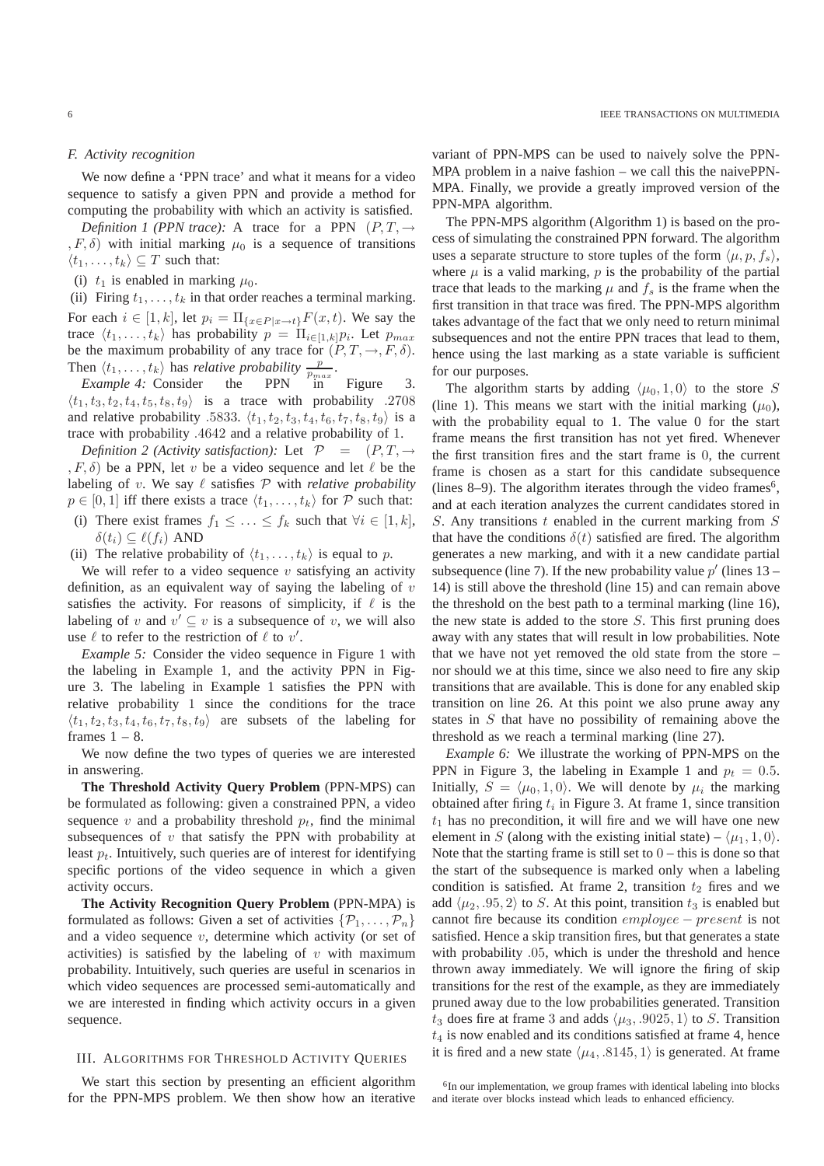#### *F. Activity recognition*

We now define a 'PPN trace' and what it means for a video sequence to satisfy a given PPN and provide a method for computing the probability with which an activity is satisfied.

*Definition 1 (PPN trace):* A trace for a PPN  $(P, T, \rightarrow$  $(F, \delta)$  with initial marking  $\mu_0$  is a sequence of transitions  $\langle t_1, \ldots, t_k \rangle \subseteq T$  such that:

(i)  $t_1$  is enabled in marking  $\mu_0$ .

(ii) Firing  $t_1, \ldots, t_k$  in that order reaches a terminal marking. For each  $i \in [1, k]$ , let  $p_i = \prod_{\{x \in P | x \to t\}} F(x, t)$ . We say the trace  $\langle t_1, \ldots, t_k \rangle$  has probability  $p = \prod_{i \in [1,k]} p_i$ . Let  $p_{max}$ be the maximum probability of any trace for  $(P, T, \rightarrow, F, \delta)$ . Then  $\langle t_1, \ldots, t_k \rangle$  has *relative probability*  $\frac{p}{p_{max}}$ .

*Example 4:* Consider the PPN in Figure 3.  $\langle t_1, t_3, t_2, t_4, t_5, t_8, t_9 \rangle$  is a trace with probability .2708 and relative probability .5833.  $\langle t_1, t_2, t_3, t_4, t_6, t_7, t_8, t_9 \rangle$  is a trace with probability .4642 and a relative probability of 1.

*Definition 2 (Activity satisfaction):* Let  $P = (P, T, \rightarrow$  $(F, \delta)$  be a PPN, let v be a video sequence and let  $\ell$  be the labeling of v. We say  $\ell$  satisfies  $\mathcal P$  with *relative probability*  $p \in [0, 1]$  iff there exists a trace  $\langle t_1, \ldots, t_k \rangle$  for P such that:

(i) There exist frames  $f_1 \leq \ldots \leq f_k$  such that  $\forall i \in [1, k]$ ,  $\delta(t_i) \subseteq \ell(f_i)$  AND

(ii) The relative probability of  $\langle t_1, \ldots, t_k \rangle$  is equal to p.

We will refer to a video sequence  $v$  satisfying an activity definition, as an equivalent way of saying the labeling of  $v$ satisfies the activity. For reasons of simplicity, if  $\ell$  is the labeling of v and  $v' \subseteq v$  is a subsequence of v, we will also use  $\ell$  to refer to the restriction of  $\ell$  to  $v'$ .

*Example 5:* Consider the video sequence in Figure 1 with the labeling in Example 1, and the activity PPN in Figure 3. The labeling in Example 1 satisfies the PPN with relative probability 1 since the conditions for the trace  $\langle t_1, t_2, t_3, t_4, t_6, t_7, t_8, t_9 \rangle$  are subsets of the labeling for frames  $1 - 8$ .

We now define the two types of queries we are interested in answering.

**The Threshold Activity Query Problem** (PPN-MPS) can be formulated as following: given a constrained PPN, a video sequence  $v$  and a probability threshold  $p_t$ , find the minimal subsequences of  $v$  that satisfy the PPN with probability at least  $p_t$ . Intuitively, such queries are of interest for identifying specific portions of the video sequence in which a given activity occurs.

**The Activity Recognition Query Problem** (PPN-MPA) is formulated as follows: Given a set of activities  $\{\mathcal{P}_1, \ldots, \mathcal{P}_n\}$ and a video sequence  $v$ , determine which activity (or set of activities) is satisfied by the labeling of  $v$  with maximum probability. Intuitively, such queries are useful in scenarios in which video sequences are processed semi-automatically and we are interested in finding which activity occurs in a given sequence.

## III. ALGORITHMS FOR THRESHOLD ACTIVITY QUERIES

We start this section by presenting an efficient algorithm for the PPN-MPS problem. We then show how an iterative

variant of PPN-MPS can be used to naively solve the PPN-MPA problem in a naive fashion – we call this the naivePPN-MPA. Finally, we provide a greatly improved version of the PPN-MPA algorithm.

The PPN-MPS algorithm (Algorithm 1) is based on the process of simulating the constrained PPN forward. The algorithm uses a separate structure to store tuples of the form  $\langle \mu, p, f_s \rangle$ , where  $\mu$  is a valid marking,  $p$  is the probability of the partial trace that leads to the marking  $\mu$  and  $f_s$  is the frame when the first transition in that trace was fired. The PPN-MPS algorithm takes advantage of the fact that we only need to return minimal subsequences and not the entire PPN traces that lead to them, hence using the last marking as a state variable is sufficient for our purposes.

The algorithm starts by adding  $\langle \mu_0, 1, 0 \rangle$  to the store S (line 1). This means we start with the initial marking  $(\mu_0)$ , with the probability equal to 1. The value 0 for the start frame means the first transition has not yet fired. Whenever the first transition fires and the start frame is 0, the current frame is chosen as a start for this candidate subsequence (lines 8–9). The algorithm iterates through the video frames<sup>6</sup>, and at each iteration analyzes the current candidates stored in S. Any transitions  $t$  enabled in the current marking from  $S$ that have the conditions  $\delta(t)$  satisfied are fired. The algorithm generates a new marking, and with it a new candidate partial subsequence (line 7). If the new probability value  $p'$  (lines 13 – 14) is still above the threshold (line 15) and can remain above the threshold on the best path to a terminal marking (line 16), the new state is added to the store  $S$ . This first pruning does away with any states that will result in low probabilities. Note that we have not yet removed the old state from the store – nor should we at this time, since we also need to fire any skip transitions that are available. This is done for any enabled skip transition on line 26. At this point we also prune away any states in  $S$  that have no possibility of remaining above the threshold as we reach a terminal marking (line 27).

*Example 6:* We illustrate the working of PPN-MPS on the PPN in Figure 3, the labeling in Example 1 and  $p_t = 0.5$ . Initially,  $S = \langle \mu_0, 1, 0 \rangle$ . We will denote by  $\mu_i$  the marking obtained after firing  $t_i$  in Figure 3. At frame 1, since transition  $t_1$  has no precondition, it will fire and we will have one new element in S (along with the existing initial state) –  $\langle \mu_1, 1, 0 \rangle$ . Note that the starting frame is still set to  $0$  – this is done so that the start of the subsequence is marked only when a labeling condition is satisfied. At frame 2, transition  $t_2$  fires and we add  $\langle \mu_2, .95, 2 \rangle$  to S. At this point, transition  $t_3$  is enabled but cannot fire because its condition employee − present is not satisfied. Hence a skip transition fires, but that generates a state with probability  $.05$ , which is under the threshold and hence thrown away immediately. We will ignore the firing of skip transitions for the rest of the example, as they are immediately pruned away due to the low probabilities generated. Transition  $t_3$  does fire at frame 3 and adds  $\langle \mu_3, .9025, 1 \rangle$  to S. Transition  $t_4$  is now enabled and its conditions satisfied at frame 4, hence it is fired and a new state  $\langle \mu_4, .8145, 1 \rangle$  is generated. At frame

<sup>&</sup>lt;sup>6</sup>In our implementation, we group frames with identical labeling into blocks and iterate over blocks instead which leads to enhanced efficiency.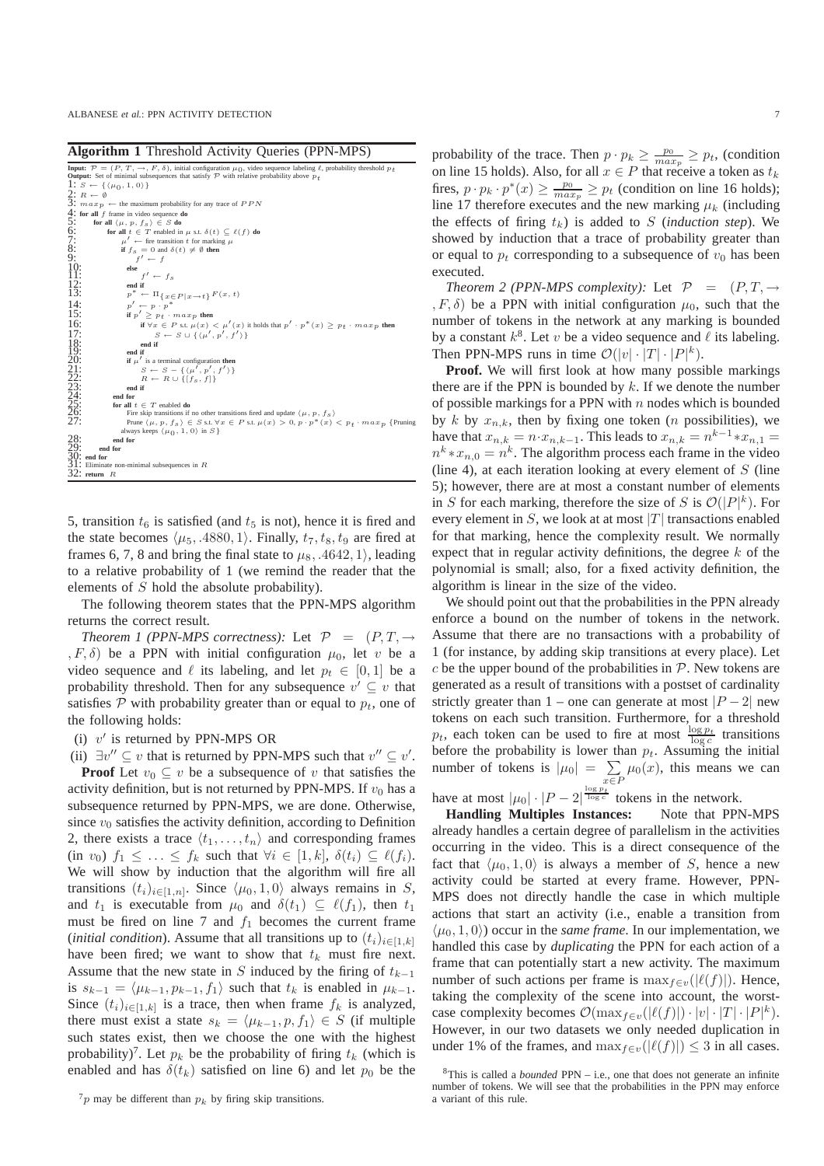**Algorithm 1** Threshold Activity Queries (PPN-MPS)

|                                                             | <b>Input:</b> $\mathcal{P} = (P, T, \rightarrow, F, \delta)$ , initial configuration $\mu_0$ , video sequence labeling $\ell$ , probability threshold $p_t$ |
|-------------------------------------------------------------|-------------------------------------------------------------------------------------------------------------------------------------------------------------|
|                                                             | <b>Output:</b> Set of minimal subsequences that satisfy $P$ with relative probability above $p_t$                                                           |
|                                                             | 1: $S \leftarrow \{(\mu_0, 1, 0)\}\$                                                                                                                        |
|                                                             |                                                                                                                                                             |
|                                                             | 2: $R \leftarrow \emptyset$<br>3: $max_p \leftarrow$ the maximum probability for any trace of $PPN$                                                         |
|                                                             | 4: for all $f$ frame in video sequence do                                                                                                                   |
| 5:                                                          | for all $\langle \mu, p, f_s \rangle \in S$ do                                                                                                              |
| 6:<br>7:<br>8:<br>9:<br>10:<br>11:                          | for all $t \in T$ enabled in $\mu$ s.t. $\delta(t) \subset \ell(f)$ do                                                                                      |
|                                                             |                                                                                                                                                             |
|                                                             | if $f_s = 0$ and $\delta(t) \neq \emptyset$ then                                                                                                            |
|                                                             | $f' \leftarrow f$                                                                                                                                           |
|                                                             | else                                                                                                                                                        |
|                                                             | $f' \leftarrow f_s$                                                                                                                                         |
| $\frac{12}{13}$                                             | end if                                                                                                                                                      |
|                                                             | $p^* \leftarrow \Pi_{\{x \in P \mid x \to t\}} F(x, t)$                                                                                                     |
| 14:                                                         | $p' \leftarrow p \cdot p^*$                                                                                                                                 |
| 15:                                                         | if $p' > p_t \cdot max_p$ then                                                                                                                              |
| 16:                                                         | if $\forall x \in P$ s.t. $\mu(x) < \mu'(x)$ it holds that $p' \cdot p^*(x) \geq p_t \cdot max_p$ then                                                      |
| 17:                                                         | $S \leftarrow S \cup \{ \langle \mu', p', f' \rangle \}$                                                                                                    |
|                                                             | end if                                                                                                                                                      |
|                                                             | end if                                                                                                                                                      |
|                                                             | if $\mu'$ is a terminal configuration then                                                                                                                  |
|                                                             | $S \leftarrow S - \{(\mu', p', f')\}$                                                                                                                       |
|                                                             | $R \leftarrow R \cup \{[f_s, f]\}$                                                                                                                          |
|                                                             | end if                                                                                                                                                      |
|                                                             | end for                                                                                                                                                     |
|                                                             | for all $t \in T$ enabled do                                                                                                                                |
| 18:<br>19:<br>20:<br>22:<br>23:<br>24:<br>25:<br>26:<br>27: | Fire skip transitions if no other transitions fired and update $\langle \mu, p, f_s \rangle$                                                                |
|                                                             | Prune $\langle \mu, p, fs \rangle \in S$ s.t. $\forall x \in P$ s.t. $\mu(x) > 0, p \cdot p^*(x) < p_t \cdot max_p$ {Pruning                                |
|                                                             | always keeps $\langle \mu_0, 1, 0 \rangle$ in $S$ }                                                                                                         |
|                                                             | end for                                                                                                                                                     |
|                                                             | 28:<br>29: end<br>30: end for<br>end for                                                                                                                    |
|                                                             |                                                                                                                                                             |
|                                                             | $31:$ Eliminate non-minimal subsequences in $R$                                                                                                             |
|                                                             | $32:$ return $R$                                                                                                                                            |

5, transition  $t_6$  is satisfied (and  $t_5$  is not), hence it is fired and the state becomes  $\langle \mu_5, .4880, 1 \rangle$ . Finally,  $t_7, t_8, t_9$  are fired at frames 6, 7, 8 and bring the final state to  $\mu_8$ , .4642, 1), leading to a relative probability of 1 (we remind the reader that the elements of S hold the absolute probability).

The following theorem states that the PPN-MPS algorithm returns the correct result.

*Theorem 1 (PPN-MPS correctness):* Let  $P = (P, T, \rightarrow$  $(F, \delta)$  be a PPN with initial configuration  $\mu_0$ , let v be a video sequence and  $\ell$  its labeling, and let  $p_t \in [0, 1]$  be a probability threshold. Then for any subsequence  $v' \subseteq v$  that satisfies  $P$  with probability greater than or equal to  $p_t$ , one of the following holds:

(i)  $v'$  is returned by PPN-MPS OR

(ii)  $\exists v'' \subseteq v$  that is returned by PPN-MPS such that  $v'' \subseteq v'$ . **Proof** Let  $v_0 \subseteq v$  be a subsequence of v that satisfies the activity definition, but is not returned by PPN-MPS. If  $v_0$  has a subsequence returned by PPN-MPS, we are done. Otherwise, since  $v_0$  satisfies the activity definition, according to Definition 2, there exists a trace  $\langle t_1, \ldots, t_n \rangle$  and corresponding frames (in  $v_0$ )  $f_1 \leq \ldots \leq f_k$  such that  $\forall i \in [1, k], \delta(t_i) \subseteq \ell(f_i)$ . We will show by induction that the algorithm will fire all transitions  $(t_i)_{i \in [1,n]}$ . Since  $\langle \mu_0, 1, 0 \rangle$  always remains in S, and  $t_1$  is executable from  $\mu_0$  and  $\delta(t_1) \subseteq \ell(f_1)$ , then  $t_1$ must be fired on line 7 and  $f_1$  becomes the current frame (*initial condition*). Assume that all transitions up to  $(t_i)_{i \in [1,k]}$ have been fired; we want to show that  $t_k$  must fire next. Assume that the new state in S induced by the firing of  $t_{k-1}$ is  $s_{k-1} = \langle \mu_{k-1}, p_{k-1}, f_1 \rangle$  such that  $t_k$  is enabled in  $\mu_{k-1}$ . Since  $(t_i)_{i \in [1,k]}$  is a trace, then when frame  $f_k$  is analyzed, there must exist a state  $s_k = \langle \mu_{k-1}, p, f_1 \rangle \in S$  (if multiple such states exist, then we choose the one with the highest probability)<sup>7</sup>. Let  $p_k$  be the probability of firing  $t_k$  (which is enabled and has  $\delta(t_k)$  satisfied on line 6) and let  $p_0$  be the

probability of the trace. Then  $p \cdot p_k \ge \frac{p_0}{max_p} \ge p_t$ , (condition on line 15 holds). Also, for all  $x \in P$  that receive a token as  $t_k$ fires,  $p \cdot p_k \cdot p^*(x) \ge \frac{p_0}{max_p} \ge p_t$  (condition on line 16 holds); line 17 therefore executes and the new marking  $\mu_k$  (including the effects of firing  $t_k$ ) is added to S (*induction step*). We showed by induction that a trace of probability greater than or equal to  $p_t$  corresponding to a subsequence of  $v_0$  has been executed.

*Theorem 2 (PPN-MPS complexity):* Let  $P = (P, T, \rightarrow$  $, F, \delta$ ) be a PPN with initial configuration  $\mu_0$ , such that the number of tokens in the network at any marking is bounded by a constant  $k^8$ . Let v be a video sequence and  $\ell$  its labeling. Then PPN-MPS runs in time  $\mathcal{O}(|v| \cdot |T| \cdot |P|^k)$ .

**Proof.** We will first look at how many possible markings there are if the PPN is bounded by  $k$ . If we denote the number of possible markings for a PPN with  $n$  nodes which is bounded by k by  $x_{n,k}$ , then by fixing one token (*n* possibilities), we have that  $x_{n,k} = n \cdot x_{n,k-1}$ . This leads to  $x_{n,k} = n^{k-1} \cdot x_{n,1} =$  $n^k * x_{n,0} = n^k$ . The algorithm process each frame in the video (line 4), at each iteration looking at every element of  $S$  (line 5); however, there are at most a constant number of elements in S for each marking, therefore the size of S is  $\mathcal{O}(|P|^k)$ . For every element in  $S$ , we look at at most |T| transactions enabled for that marking, hence the complexity result. We normally expect that in regular activity definitions, the degree  $k$  of the polynomial is small; also, for a fixed activity definition, the algorithm is linear in the size of the video.

We should point out that the probabilities in the PPN already enforce a bound on the number of tokens in the network. Assume that there are no transactions with a probability of 1 (for instance, by adding skip transitions at every place). Let  $c$  be the upper bound of the probabilities in  $\mathcal{P}$ . New tokens are generated as a result of transitions with a postset of cardinality strictly greater than 1 – one can generate at most  $|P - 2|$  new tokens on each such transition. Furthermore, for a threshold  $p_t$ , each token can be used to fire at most  $\frac{\log p_t}{\log c}$  transitions before the probability is lower than  $p_t$ . Assuming the initial number of tokens is  $|\mu_0| = \sum$  $\sum_{x \in P} \mu_0(x)$ , this means we can

have at most  $|\mu_0| \cdot |P-2|^{\frac{\log p_t}{\log c}}$  tokens in the network.

**Handling Multiples Instances:** Note that PPN-MPS already handles a certain degree of parallelism in the activities occurring in the video. This is a direct consequence of the fact that  $\langle \mu_0, 1, 0 \rangle$  is always a member of S, hence a new activity could be started at every frame. However, PPN-MPS does not directly handle the case in which multiple actions that start an activity (i.e., enable a transition from  $\langle \mu_0, 1, 0 \rangle$  occur in the *same frame*. In our implementation, we handled this case by *duplicating* the PPN for each action of a frame that can potentially start a new activity. The maximum number of such actions per frame is  $\max_{f \in v}(|\ell(f)|)$ . Hence, taking the complexity of the scene into account, the worstcase complexity becomes  $\mathcal{O}(\max_{f \in v} (|\ell(f)|) \cdot |v| \cdot |T| \cdot |P|^k).$ However, in our two datasets we only needed duplication in under 1% of the frames, and  $\max_{f \in v} (|\ell(f)|) \leq 3$  in all cases.

 $\sigma_p$  may be different than  $p_k$  by firing skip transitions.

 $8$ This is called a *bounded* PPN – i.e., one that does not generate an infinite number of tokens. We will see that the probabilities in the PPN may enforce a variant of this rule.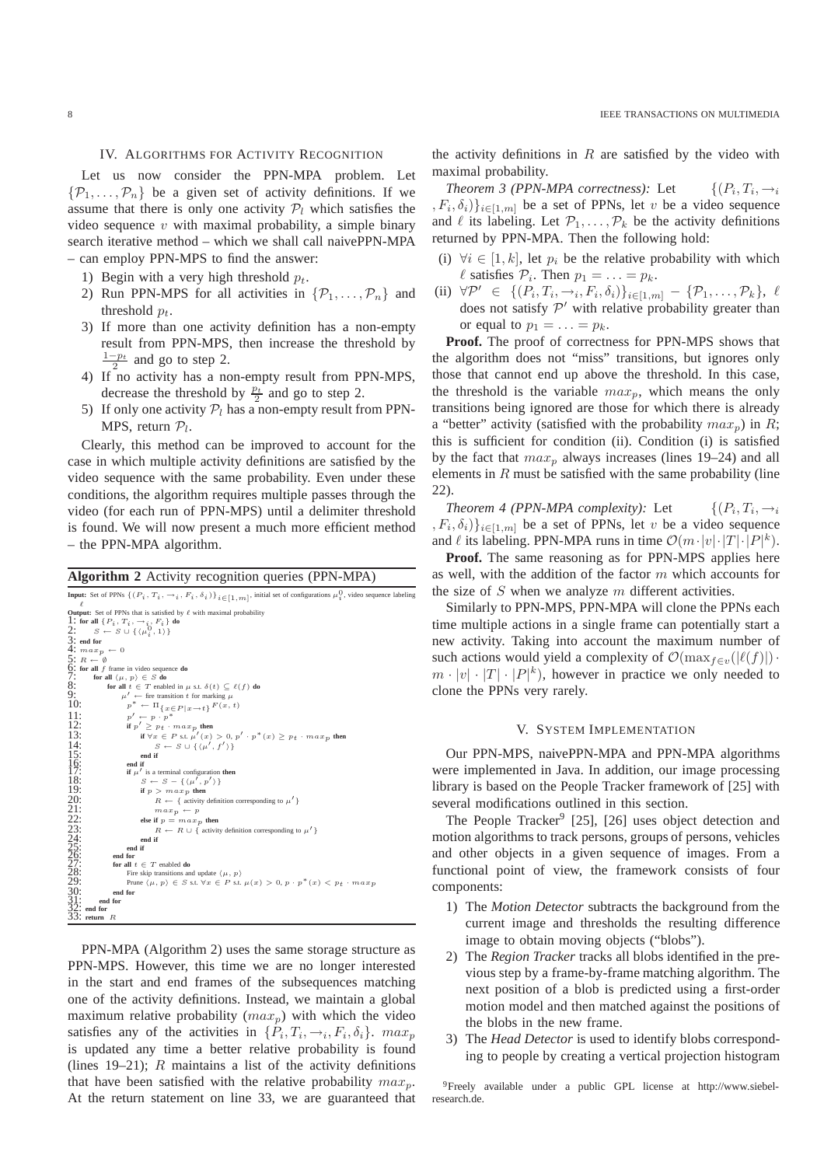#### IV. ALGORITHMS FOR ACTIVITY RECOGNITION

Let us now consider the PPN-MPA problem. Let  $\{\mathcal{P}_1,\ldots,\mathcal{P}_n\}$  be a given set of activity definitions. If we assume that there is only one activity  $P_l$  which satisfies the video sequence  $v$  with maximal probability, a simple binary search iterative method – which we shall call naivePPN-MPA – can employ PPN-MPS to find the answer:

- 1) Begin with a very high threshold  $p_t$ .
- 2) Run PPN-MPS for all activities in  $\{\mathcal{P}_1, \ldots, \mathcal{P}_n\}$  and threshold  $p_t$ .
- 3) If more than one activity definition has a non-empty result from PPN-MPS, then increase the threshold by  $\frac{1-p_t}{2}$  and go to step 2.
- 4) If no activity has a non-empty result from PPN-MPS, decrease the threshold by  $\frac{p_t}{2}$  and go to step 2.
- 5) If only one activity  $P_l$  has a non-empty result from PPN-MPS, return  $P_l$ .

Clearly, this method can be improved to account for the case in which multiple activity definitions are satisfied by the video sequence with the same probability. Even under these conditions, the algorithm requires multiple passes through the video (for each run of PPN-MPS) until a delimiter threshold is found. We will now present a much more efficient method – the PPN-MPA algorithm.

## **Algorithm 2** Activity recognition queries (PPN-MPA)

```
Input: Set of PPNs \{(P_i, T_i, \rightarrow_i, F_i, \delta_i)\}_{i \in [1, m]}, initial set of configurations \mu_i^0, video sequence labeling
Output: Set of PPNs that is satisfied by \ell with maximal probability <br>
1: for all \{P_i, T_i, \rightarrow_i, F_i\} do<br>
2: S \leftarrow S \cup \{(\mu_i^0, 1)\}\frac{3}{4}: end for<br>4: max_{p}\max p \ \leftarrow \ 05: R \leftarrow \begin{pmatrix} 0 & \cdots & \cdots & 0 \\ 0 & \text{for } u \end{pmatrix} f frame in video sequence do<br>
7: for all f frame in video sequence do<br>
8: for all t \in T enabled in \mu s.t. \delta(t) \subseteq \ell(f) do<br>
9: \mu^* \leftarrow \text{first transition } t for marking \mu<br>

                                          y' \leftarrow p \cdot p^*<br>p' \geq p_t \cdot max_p then
\frac{11}{12}:<br>\frac{1}{13}:
13:<br>
if \forall x \in P s.t. \mu'(x) > 0, p' \cdot p^*(x) \ge p_t \cdot max_p then<br>
S \leftarrow S \cup \{(\mu', f')\}14:<br>
15: end if<br>
16: end if<br>
17: if \mu' is a<br>
18: S \leftarrow<br>
19: if p is
                                      16: end if
17: if \mu' is a terminal configuration then<br>
18: S \leftarrow S - \{(\mu', p')\}if p > max_p then
                                                       R \leftarrow \{ activity definition corresponding to \mu']
                                                       max_p \leftarrow pelse if p = max_p then
                                                      R \leftarrow R \cup \left\{ \right. activity definition corresponding to \mu'end if<br>end if
25: end if
                             26: end for
                            \begin{array}{ll} \n\text{for all } t \in T \text{ enabled do} \n\end{array}28: Fire skip transitions and update \langle \mu, p \rangle<br>
29: Prune \langle \mu, p \rangle \in S s.t. \forall x \in P s.t. \mu(x) > 0, p \cdot p^*(x) < p_t \cdot max_p30: end for
31: end for
32: end for
33: return R
```
PPN-MPA (Algorithm 2) uses the same storage structure as PPN-MPS. However, this time we are no longer interested in the start and end frames of the subsequences matching one of the activity definitions. Instead, we maintain a global maximum relative probability  $(max_p)$  with which the video satisfies any of the activities in  $\{P_i, T_i, \rightarrow_i, F_i, \delta_i\}$ .  $max_p$ is updated any time a better relative probability is found (lines 19–21);  $R$  maintains a list of the activity definitions that have been satisfied with the relative probability  $max_p$ . At the return statement on line 33, we are guaranteed that the activity definitions in  $R$  are satisfied by the video with maximal probability.

*Theorem 3 (PPN-MPA correctness):* Let  $,T_i,\rightarrow_i$  $, F_i, \delta_i) \}_{i \in [1,m]}$  be a set of PPNs, let v be a video sequence and  $\ell$  its labeling. Let  $\mathcal{P}_1, \ldots, \mathcal{P}_k$  be the activity definitions returned by PPN-MPA. Then the following hold:

- (i)  $\forall i \in [1, k]$ , let  $p_i$  be the relative probability with which  $\ell$  satisfies  $\mathcal{P}_i$ . Then  $p_1 = \ldots = p_k$ .
- (ii)  $\forall \mathcal{P}' \in \{ (P_i, T_i, \rightarrow_i, F_i, \delta_i) \}_{i \in [1,m]} \{ \mathcal{P}_1, \dots, \mathcal{P}_k \}, \ell$ does not satisfy  $\mathcal{P}'$  with relative probability greater than or equal to  $p_1 = \ldots = p_k$ .

**Proof.** The proof of correctness for PPN-MPS shows that the algorithm does not "miss" transitions, but ignores only those that cannot end up above the threshold. In this case, the threshold is the variable  $max_n$ , which means the only transitions being ignored are those for which there is already a "better" activity (satisfied with the probability  $max_p$ ) in R; this is sufficient for condition (ii). Condition (i) is satisfied by the fact that  $max_p$  always increases (lines 19–24) and all elements in  $R$  must be satisfied with the same probability (line 22).

*Theorem 4 (PPN-MPA complexity):* Let  $,T_i,\rightarrow_i$  $, F_i, \delta_i) \}_{i \in [1,m]}$  be a set of PPNs, let v be a video sequence and  $\ell$  its labeling. PPN-MPA runs in time  $\mathcal{O}(m \cdot |v| \cdot |T| \cdot |P|^k)$ .

**Proof.** The same reasoning as for PPN-MPS applies here as well, with the addition of the factor m which accounts for the size of  $S$  when we analyze  $m$  different activities.

Similarly to PPN-MPS, PPN-MPA will clone the PPNs each time multiple actions in a single frame can potentially start a new activity. Taking into account the maximum number of such actions would yield a complexity of  $\mathcal{O}(\max_{f \in v}(|\ell(f)|) \cdot$  $m \cdot |v| \cdot |T| \cdot |P|^k$ ), however in practice we only needed to clone the PPNs very rarely.

## V. SYSTEM IMPLEMENTATION

Our PPN-MPS, naivePPN-MPA and PPN-MPA algorithms were implemented in Java. In addition, our image processing library is based on the People Tracker framework of [25] with several modifications outlined in this section.

The People Tracker<sup>9</sup> [25], [26] uses object detection and motion algorithms to track persons, groups of persons, vehicles and other objects in a given sequence of images. From a functional point of view, the framework consists of four components:

- 1) The *Motion Detector* subtracts the background from the current image and thresholds the resulting difference image to obtain moving objects ("blobs").
- 2) The *Region Tracker* tracks all blobs identified in the previous step by a frame-by-frame matching algorithm. The next position of a blob is predicted using a first-order motion model and then matched against the positions of the blobs in the new frame.
- 3) The *Head Detector* is used to identify blobs corresponding to people by creating a vertical projection histogram

<sup>9</sup>Freely available under a public GPL license at http://www.siebelresearch.de.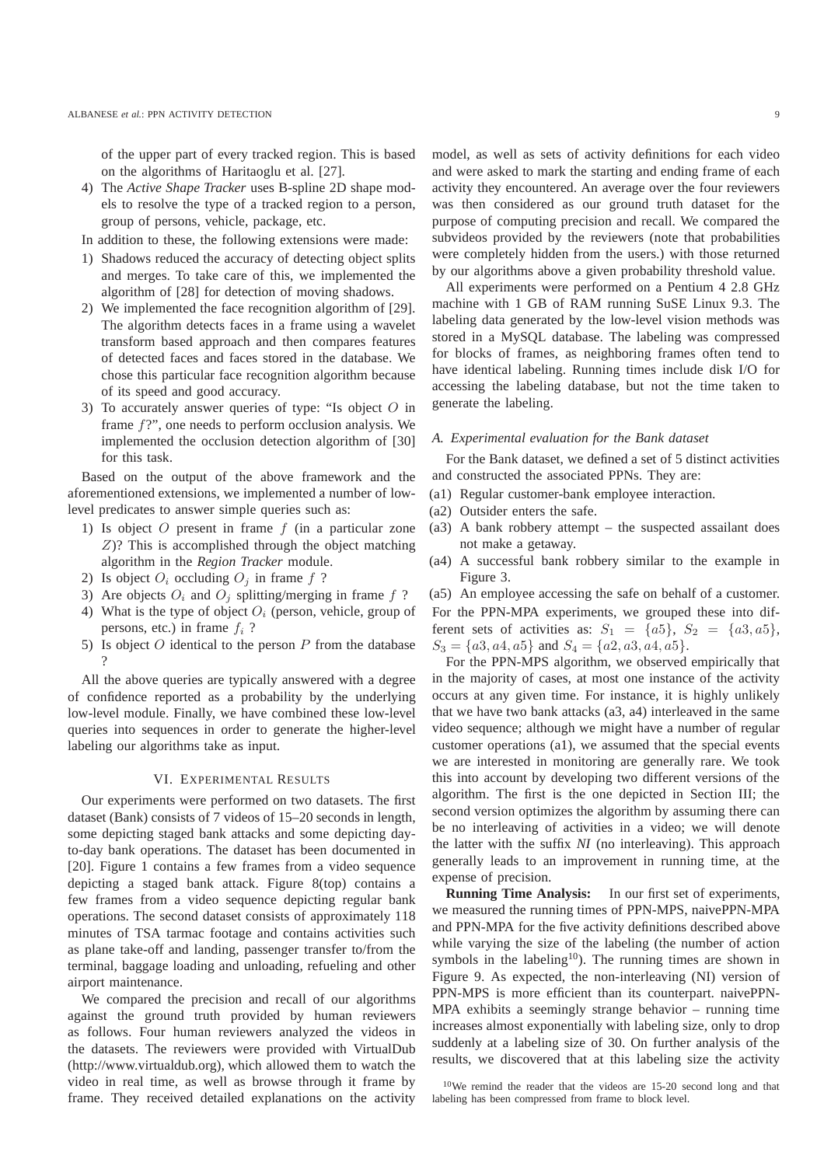of the upper part of every tracked region. This is based on the algorithms of Haritaoglu et al. [27].

- 4) The *Active Shape Tracker* uses B-spline 2D shape models to resolve the type of a tracked region to a person, group of persons, vehicle, package, etc.
- In addition to these, the following extensions were made:
- 1) Shadows reduced the accuracy of detecting object splits and merges. To take care of this, we implemented the algorithm of [28] for detection of moving shadows.
- 2) We implemented the face recognition algorithm of [29]. The algorithm detects faces in a frame using a wavelet transform based approach and then compares features of detected faces and faces stored in the database. We chose this particular face recognition algorithm because of its speed and good accuracy.
- 3) To accurately answer queries of type: "Is object  $O$  in frame f?", one needs to perform occlusion analysis. We implemented the occlusion detection algorithm of [30] for this task.

Based on the output of the above framework and the aforementioned extensions, we implemented a number of lowlevel predicates to answer simple queries such as:

- 1) Is object  $O$  present in frame  $f$  (in a particular zone Z)? This is accomplished through the object matching algorithm in the *Region Tracker* module.
- 2) Is object  $O_i$  occluding  $O_i$  in frame f ?
- 3) Are objects  $O_i$  and  $O_j$  splitting/merging in frame f ?
- 4) What is the type of object  $O_i$  (person, vehicle, group of persons, etc.) in frame  $f_i$  ?
- 5) Is object  $O$  identical to the person  $P$  from the database ?

All the above queries are typically answered with a degree of confidence reported as a probability by the underlying low-level module. Finally, we have combined these low-level queries into sequences in order to generate the higher-level labeling our algorithms take as input.

#### VI. EXPERIMENTAL RESULTS

Our experiments were performed on two datasets. The first dataset (Bank) consists of 7 videos of 15–20 seconds in length, some depicting staged bank attacks and some depicting dayto-day bank operations. The dataset has been documented in [20]. Figure 1 contains a few frames from a video sequence depicting a staged bank attack. Figure 8(top) contains a few frames from a video sequence depicting regular bank operations. The second dataset consists of approximately 118 minutes of TSA tarmac footage and contains activities such as plane take-off and landing, passenger transfer to/from the terminal, baggage loading and unloading, refueling and other airport maintenance.

We compared the precision and recall of our algorithms against the ground truth provided by human reviewers as follows. Four human reviewers analyzed the videos in the datasets. The reviewers were provided with VirtualDub (http://www.virtualdub.org), which allowed them to watch the video in real time, as well as browse through it frame by frame. They received detailed explanations on the activity model, as well as sets of activity definitions for each video and were asked to mark the starting and ending frame of each activity they encountered. An average over the four reviewers was then considered as our ground truth dataset for the purpose of computing precision and recall. We compared the subvideos provided by the reviewers (note that probabilities were completely hidden from the users.) with those returned by our algorithms above a given probability threshold value.

All experiments were performed on a Pentium 4 2.8 GHz machine with 1 GB of RAM running SuSE Linux 9.3. The labeling data generated by the low-level vision methods was stored in a MySQL database. The labeling was compressed for blocks of frames, as neighboring frames often tend to have identical labeling. Running times include disk I/O for accessing the labeling database, but not the time taken to generate the labeling.

# *A. Experimental evaluation for the Bank dataset*

For the Bank dataset, we defined a set of 5 distinct activities and constructed the associated PPNs. They are:

- (a1) Regular customer-bank employee interaction.
- (a2) Outsider enters the safe.
- (a3) A bank robbery attempt the suspected assailant does not make a getaway.
- (a4) A successful bank robbery similar to the example in Figure 3.

(a5) An employee accessing the safe on behalf of a customer. For the PPN-MPA experiments, we grouped these into different sets of activities as:  $S_1 = \{a5\}$ ,  $S_2 = \{a3, a5\}$ ,  $S_3 = \{a3, a4, a5\}$  and  $S_4 = \{a2, a3, a4, a5\}.$ 

For the PPN-MPS algorithm, we observed empirically that in the majority of cases, at most one instance of the activity occurs at any given time. For instance, it is highly unlikely that we have two bank attacks (a3, a4) interleaved in the same video sequence; although we might have a number of regular customer operations (a1), we assumed that the special events we are interested in monitoring are generally rare. We took this into account by developing two different versions of the algorithm. The first is the one depicted in Section III; the second version optimizes the algorithm by assuming there can be no interleaving of activities in a video; we will denote the latter with the suffix *NI* (no interleaving). This approach generally leads to an improvement in running time, at the expense of precision.

**Running Time Analysis:** In our first set of experiments, we measured the running times of PPN-MPS, naivePPN-MPA and PPN-MPA for the five activity definitions described above while varying the size of the labeling (the number of action symbols in the labeling<sup>10</sup>). The running times are shown in Figure 9. As expected, the non-interleaving (NI) version of PPN-MPS is more efficient than its counterpart. naivePPN-MPA exhibits a seemingly strange behavior – running time increases almost exponentially with labeling size, only to drop suddenly at a labeling size of 30. On further analysis of the results, we discovered that at this labeling size the activity

 $10$ We remind the reader that the videos are 15-20 second long and that labeling has been compressed from frame to block level.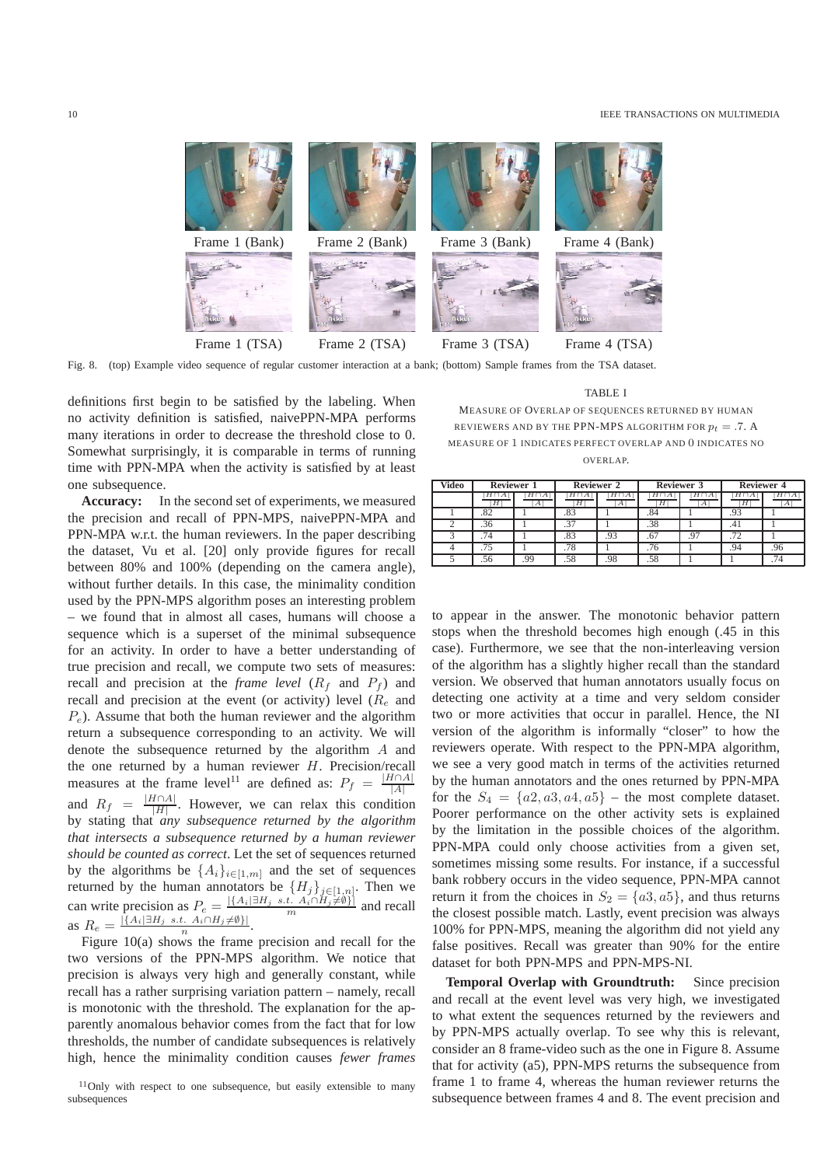

Fig. 8. (top) Example video sequence of regular customer interaction at a bank; (bottom) Sample frames from the TSA dataset.

definitions first begin to be satisfied by the labeling. When no activity definition is satisfied, naivePPN-MPA performs many iterations in order to decrease the threshold close to 0. Somewhat surprisingly, it is comparable in terms of running time with PPN-MPA when the activity is satisfied by at least one subsequence.

**Accuracy:** In the second set of experiments, we measured the precision and recall of PPN-MPS, naivePPN-MPA and PPN-MPA w.r.t. the human reviewers. In the paper describing the dataset, Vu et al. [20] only provide figures for recall between 80% and 100% (depending on the camera angle), without further details. In this case, the minimality condition used by the PPN-MPS algorithm poses an interesting problem – we found that in almost all cases, humans will choose a sequence which is a superset of the minimal subsequence for an activity. In order to have a better understanding of true precision and recall, we compute two sets of measures: recall and precision at the *frame level*  $(R_f$  and  $P_f$ ) and recall and precision at the event (or activity) level  $(R_e$  and  $P_e$ ). Assume that both the human reviewer and the algorithm return a subsequence corresponding to an activity. We will denote the subsequence returned by the algorithm A and the one returned by a human reviewer  $H$ . Precision/recall measures at the frame level<sup>11</sup> are defined as:  $P_f = \frac{|H \cap A|}{|A|}$  $|A|$ and  $R_f = \frac{|H \cap A|}{|H|}$  $\frac{H||A||}{|H|}$ . However, we can relax this condition by stating that *any subsequence returned by the algorithm that intersects a subsequence returned by a human reviewer should be counted as correct*. Let the set of sequences returned by the algorithms be  $\{A_i\}_{i\in[1,m]}$  and the set of sequences returned by the human annotators be  $\{H_j\}_{j\in[1,n]}$ . Then we can write precision as  $P_e = \frac{|\{A_i | \exists H_j \text{ s.t. } A_i \cap H_j \neq \emptyset\}|}{m}$  and recall as  $R_e = \frac{|\{A_i | \exists H_j \text{ s.t. } A_i \cap H_j \neq \emptyset\}|}{n}$ .

Figure 10(a) shows the frame precision and recall for the two versions of the PPN-MPS algorithm. We notice that precision is always very high and generally constant, while recall has a rather surprising variation pattern – namely, recall is monotonic with the threshold. The explanation for the apparently anomalous behavior comes from the fact that for low thresholds, the number of candidate subsequences is relatively high, hence the minimality condition causes *fewer frames*

TABLE I

MEASURE OF OVERLAP OF SEQUENCES RETURNED BY HUMAN REVIEWERS AND BY THE PPN-MPS ALGORITHM FOR  $p_t = .7$ . A MEASURE OF 1 INDICATES PERFECT OVERLAP AND 0 INDICATES NO OVERLAP.

| <b>Video</b> | <b>Reviewer 1</b> |    | <b>Reviewer 2</b> |                  | Reviewer 3 |         | <b>Reviewer 4</b> |                 |
|--------------|-------------------|----|-------------------|------------------|------------|---------|-------------------|-----------------|
|              | $H \cup A$<br>Н   | A  | $\overline{H}$    | $\boldsymbol{A}$ | H          | ĦΓ<br>А | HIA<br>Н          | $H \cap A$<br>A |
|              | .82               |    | .83               |                  |            |         | .93               |                 |
|              | .36               |    | .37               |                  | .38        |         | 4۱.               |                 |
|              | . 74              |    | .83               | .93              |            |         |                   |                 |
|              |                   |    | .78               |                  | .76        |         | .94               | 96              |
|              |                   | 00 | .58               | .98              |            |         |                   |                 |

to appear in the answer. The monotonic behavior pattern stops when the threshold becomes high enough (.45 in this case). Furthermore, we see that the non-interleaving version of the algorithm has a slightly higher recall than the standard version. We observed that human annotators usually focus on detecting one activity at a time and very seldom consider two or more activities that occur in parallel. Hence, the NI version of the algorithm is informally "closer" to how the reviewers operate. With respect to the PPN-MPA algorithm, we see a very good match in terms of the activities returned by the human annotators and the ones returned by PPN-MPA for the  $S_4 = \{a2, a3, a4, a5\}$  – the most complete dataset. Poorer performance on the other activity sets is explained by the limitation in the possible choices of the algorithm. PPN-MPA could only choose activities from a given set, sometimes missing some results. For instance, if a successful bank robbery occurs in the video sequence, PPN-MPA cannot return it from the choices in  $S_2 = \{a3, a5\}$ , and thus returns the closest possible match. Lastly, event precision was always 100% for PPN-MPS, meaning the algorithm did not yield any false positives. Recall was greater than 90% for the entire dataset for both PPN-MPS and PPN-MPS-NI.

**Temporal Overlap with Groundtruth:** Since precision and recall at the event level was very high, we investigated to what extent the sequences returned by the reviewers and by PPN-MPS actually overlap. To see why this is relevant, consider an 8 frame-video such as the one in Figure 8. Assume that for activity (a5), PPN-MPS returns the subsequence from frame 1 to frame 4, whereas the human reviewer returns the subsequence between frames 4 and 8. The event precision and

 $11$ Only with respect to one subsequence, but easily extensible to many subsequences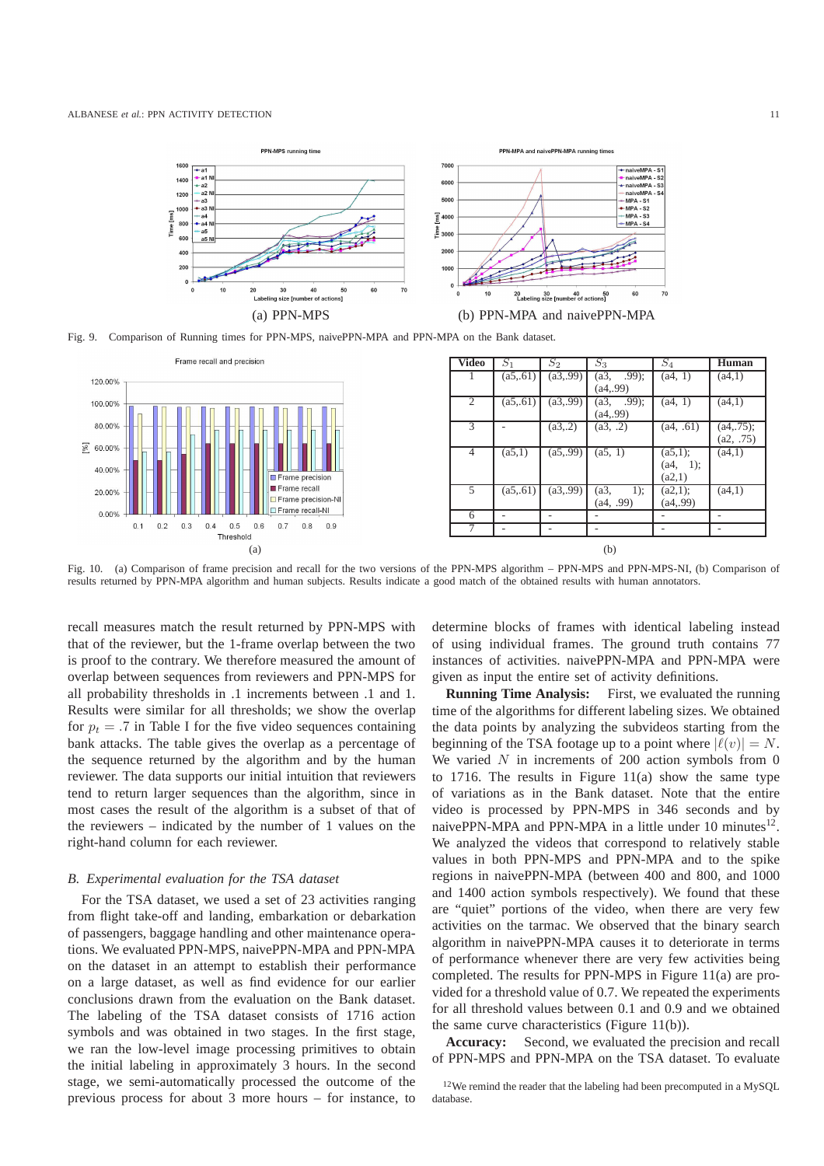

Fig. 9. Comparison of Running times for PPN-MPS, naivePPN-MPA and PPN-MPA on the Bank dataset.



Fig. 10. (a) Comparison of frame precision and recall for the two versions of the PPN-MPS algorithm – PPN-MPS and PPN-MPS-NI, (b) Comparison of results returned by PPN-MPA algorithm and human subjects. Results indicate a good match of the obtained results with human annotators.

recall measures match the result returned by PPN-MPS with that of the reviewer, but the 1-frame overlap between the two is proof to the contrary. We therefore measured the amount of overlap between sequences from reviewers and PPN-MPS for all probability thresholds in .1 increments between .1 and 1. Results were similar for all thresholds; we show the overlap for  $p_t = .7$  in Table I for the five video sequences containing bank attacks. The table gives the overlap as a percentage of the sequence returned by the algorithm and by the human reviewer. The data supports our initial intuition that reviewers tend to return larger sequences than the algorithm, since in most cases the result of the algorithm is a subset of that of the reviewers – indicated by the number of 1 values on the right-hand column for each reviewer.

#### *B. Experimental evaluation for the TSA dataset*

For the TSA dataset, we used a set of 23 activities ranging from flight take-off and landing, embarkation or debarkation of passengers, baggage handling and other maintenance operations. We evaluated PPN-MPS, naivePPN-MPA and PPN-MPA on the dataset in an attempt to establish their performance on a large dataset, as well as find evidence for our earlier conclusions drawn from the evaluation on the Bank dataset. The labeling of the TSA dataset consists of 1716 action symbols and was obtained in two stages. In the first stage, we ran the low-level image processing primitives to obtain the initial labeling in approximately 3 hours. In the second stage, we semi-automatically processed the outcome of the previous process for about 3 more hours – for instance, to determine blocks of frames with identical labeling instead of using individual frames. The ground truth contains 77 instances of activities. naivePPN-MPA and PPN-MPA were given as input the entire set of activity definitions.

**Running Time Analysis:** First, we evaluated the running time of the algorithms for different labeling sizes. We obtained the data points by analyzing the subvideos starting from the beginning of the TSA footage up to a point where  $|\ell(v)| = N$ . We varied  $N$  in increments of 200 action symbols from 0 to 1716. The results in Figure 11(a) show the same type of variations as in the Bank dataset. Note that the entire video is processed by PPN-MPS in 346 seconds and by naivePPN-MPA and PPN-MPA in a little under 10 minutes $^{12}$ . We analyzed the videos that correspond to relatively stable values in both PPN-MPS and PPN-MPA and to the spike regions in naivePPN-MPA (between 400 and 800, and 1000 and 1400 action symbols respectively). We found that these are "quiet" portions of the video, when there are very few activities on the tarmac. We observed that the binary search algorithm in naivePPN-MPA causes it to deteriorate in terms of performance whenever there are very few activities being completed. The results for PPN-MPS in Figure 11(a) are provided for a threshold value of 0.7. We repeated the experiments for all threshold values between 0.1 and 0.9 and we obtained the same curve characteristics (Figure 11(b)).

**Accuracy:** Second, we evaluated the precision and recall of PPN-MPS and PPN-MPA on the TSA dataset. To evaluate

<sup>12</sup>We remind the reader that the labeling had been precomputed in a MySQL database.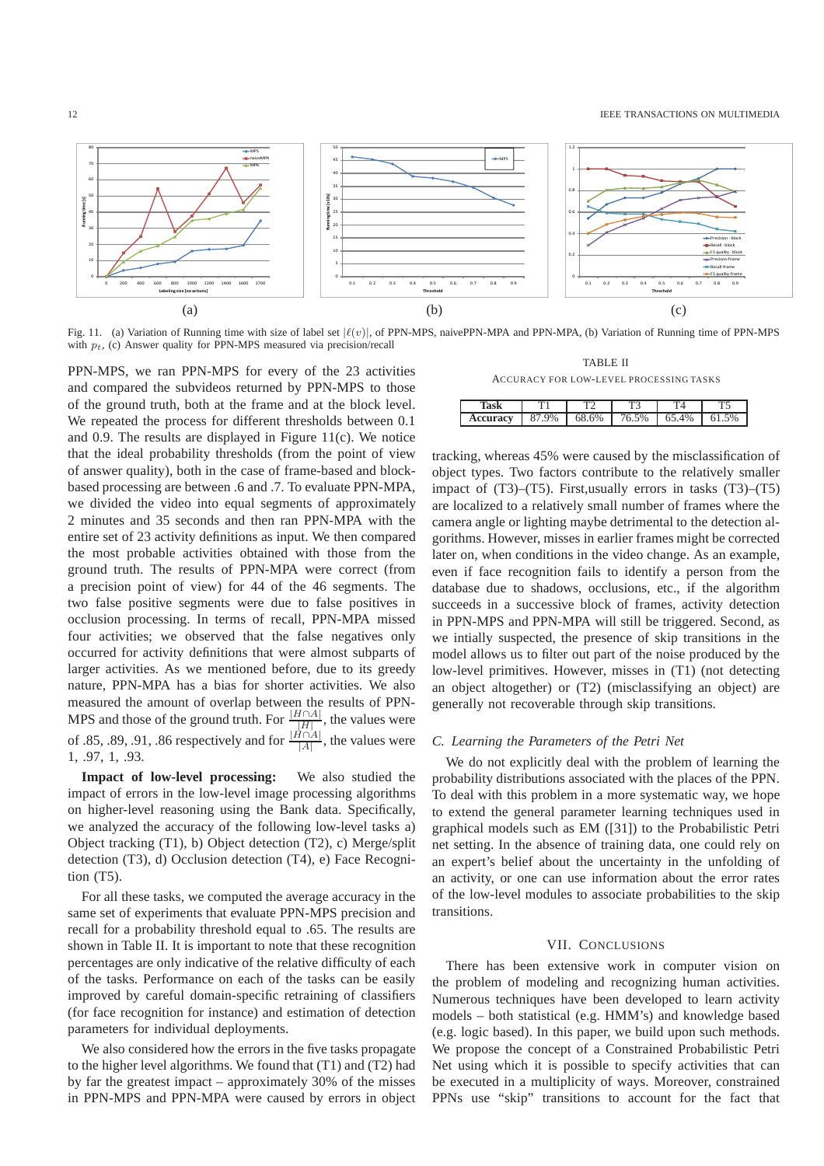

Fig. 11. (a) Variation of Running time with size of label set  $|\ell(v)|$ , of PPN-MPS, naivePPN-MPA and PPN-MPA, (b) Variation of Running time of PPN-MPS with  $p_t$ , (c) Answer quality for PPN-MPS measured via precision/recall

PPN-MPS, we ran PPN-MPS for every of the 23 activities and compared the subvideos returned by PPN-MPS to those of the ground truth, both at the frame and at the block level. We repeated the process for different thresholds between 0.1 and 0.9. The results are displayed in Figure 11(c). We notice that the ideal probability thresholds (from the point of view of answer quality), both in the case of frame-based and blockbased processing are between .6 and .7. To evaluate PPN-MPA, we divided the video into equal segments of approximately 2 minutes and 35 seconds and then ran PPN-MPA with the entire set of 23 activity definitions as input. We then compared the most probable activities obtained with those from the ground truth. The results of PPN-MPA were correct (from a precision point of view) for 44 of the 46 segments. The two false positive segments were due to false positives in occlusion processing. In terms of recall, PPN-MPA missed four activities; we observed that the false negatives only occurred for activity definitions that were almost subparts of larger activities. As we mentioned before, due to its greedy nature, PPN-MPA has a bias for shorter activities. We also measured the amount of overlap between the results of PPN-MPS and those of the ground truth. For  $\frac{|H \cap A|}{|H|}$ , the values were of .85, .89, .91, .86 respectively and for  $\frac{|H \cap A|}{|A|}$ , the values were 1, .97, 1, .93.

**Impact of low-level processing:** We also studied the impact of errors in the low-level image processing algorithms on higher-level reasoning using the Bank data. Specifically, we analyzed the accuracy of the following low-level tasks a) Object tracking (T1), b) Object detection (T2), c) Merge/split detection (T3), d) Occlusion detection (T4), e) Face Recognition (T5).

For all these tasks, we computed the average accuracy in the same set of experiments that evaluate PPN-MPS precision and recall for a probability threshold equal to .65. The results are shown in Table II. It is important to note that these recognition percentages are only indicative of the relative difficulty of each of the tasks. Performance on each of the tasks can be easily improved by careful domain-specific retraining of classifiers (for face recognition for instance) and estimation of detection parameters for individual deployments.

We also considered how the errors in the five tasks propagate to the higher level algorithms. We found that (T1) and (T2) had by far the greatest impact – approximately 30% of the misses in PPN-MPS and PPN-MPA were caused by errors in object

TABLE II ACCURACY FOR LOW-LEVEL PROCESSING TASKS

|                 |       | ᠇     | T۸    |       |  |
|-----------------|-------|-------|-------|-------|--|
| <b>Accuracy</b> | 87.9% | 68.6% | 76.5% | 65.4% |  |
|                 |       |       |       |       |  |

tracking, whereas 45% were caused by the misclassification of object types. Two factors contribute to the relatively smaller impact of (T3)–(T5). First,usually errors in tasks (T3)–(T5) are localized to a relatively small number of frames where the camera angle or lighting maybe detrimental to the detection algorithms. However, misses in earlier frames might be corrected later on, when conditions in the video change. As an example, even if face recognition fails to identify a person from the database due to shadows, occlusions, etc., if the algorithm succeeds in a successive block of frames, activity detection in PPN-MPS and PPN-MPA will still be triggered. Second, as we intially suspected, the presence of skip transitions in the model allows us to filter out part of the noise produced by the low-level primitives. However, misses in (T1) (not detecting an object altogether) or (T2) (misclassifying an object) are generally not recoverable through skip transitions.

## *C. Learning the Parameters of the Petri Net*

We do not explicitly deal with the problem of learning the probability distributions associated with the places of the PPN. To deal with this problem in a more systematic way, we hope to extend the general parameter learning techniques used in graphical models such as EM ([31]) to the Probabilistic Petri net setting. In the absence of training data, one could rely on an expert's belief about the uncertainty in the unfolding of an activity, or one can use information about the error rates of the low-level modules to associate probabilities to the skip transitions.

## VII. CONCLUSIONS

There has been extensive work in computer vision on the problem of modeling and recognizing human activities. Numerous techniques have been developed to learn activity models – both statistical (e.g. HMM's) and knowledge based (e.g. logic based). In this paper, we build upon such methods. We propose the concept of a Constrained Probabilistic Petri Net using which it is possible to specify activities that can be executed in a multiplicity of ways. Moreover, constrained PPNs use "skip" transitions to account for the fact that